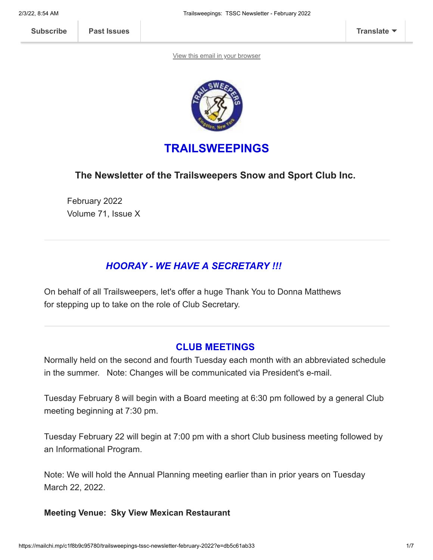[View this email in your browser](https://mailchi.mp/c1f8b9c95780/trailsweepings-tssc-newsletter-february-2022?e=db5c61ab33)



# **TRAILSWEEPINGS**

## **The Newsletter of the Trailsweepers Snow and Sport Club Inc.**

February 2022 Volume 71, Issue X

# *HOORAY - WE HAVE A SECRETARY !!!*

On behalf of all Trailsweepers, let's offer a huge Thank You to Donna Matthews for stepping up to take on the role of Club Secretary.

## **CLUB MEETINGS**

Normally held on the second and fourth Tuesday each month with an abbreviated schedule in the summer. Note: Changes will be communicated via President's e-mail.

Tuesday February 8 will begin with a Board meeting at 6:30 pm followed by a general Club meeting beginning at 7:30 pm.

Tuesday February 22 will begin at 7:00 pm with a short Club business meeting followed by an Informational Program.

Note: We will hold the Annual Planning meeting earlier than in prior years on Tuesday March 22, 2022.

## **Meeting Venue: Sky View Mexican Restaurant**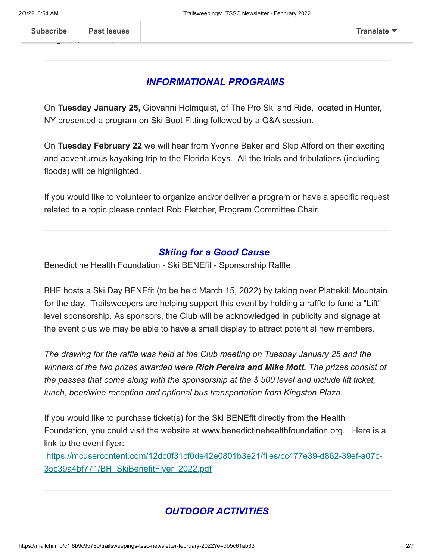Kingston, NY 12401 **Subscribe Past Issues [Translate](javascript:;)**

## *INFORMATIONAL PROGRAMS*

On **Tuesday January 25,** Giovanni Holmquist, of The Pro Ski and Ride, located in Hunter, NY presented a program on Ski Boot Fitting followed by a Q&A session.

On **Tuesday February 22** we will hear from Yvonne Baker and Skip Alford on their exciting and adventurous kayaking trip to the Florida Keys. All the trials and tribulations (including floods) will be highlighted.

If you would like to volunteer to organize and/or deliver a program or have a specific request related to a topic please contact Rob Fletcher, Program Committee Chair.

## *Skiing for a Good Cause*

Benedictine Health Foundation - Ski BENEfit - Sponsorship Raffle

BHF hosts a Ski Day BENEfit (to be held March 15, 2022) by taking over Plattekill Mountain for the day. Trailsweepers are helping support this event by holding a raffle to fund a "Lift" level sponsorship. As sponsors, the Club will be acknowledged in publicity and signage at the event plus we may be able to have a small display to attract potential new members.

*The drawing for the raffle was held at the Club meeting on Tuesday January 25 and the winners of the two prizes awarded were Rich Pereira and Mike Mott. The prizes consist of the passes that come along with the sponsorship at the \$ 500 level and include lift ticket, lunch, beer/wine reception and optional bus transportation from Kingston Plaza.*

If you would like to purchase ticket(s) for the Ski BENEfit directly from the Health Foundation, you could visit the website at www.benedictinehealthfoundation.org. Here is a link to the event flyer:

[https://mcusercontent.com/12dc0f31cf0de42e0801b3e21/files/cc477e39-d862-39ef-a07c-](https://mcusercontent.com/12dc0f31cf0de42e0801b3e21/files/cc477e39-d862-39ef-a07c-35c39a4bf771/BH_SkiBenefitFlyer_2022.pdf)35c39a4bf771/BH\_SkiBenefitFlyer\_2022.pdf

## *OUTDOOR ACTIVITIES*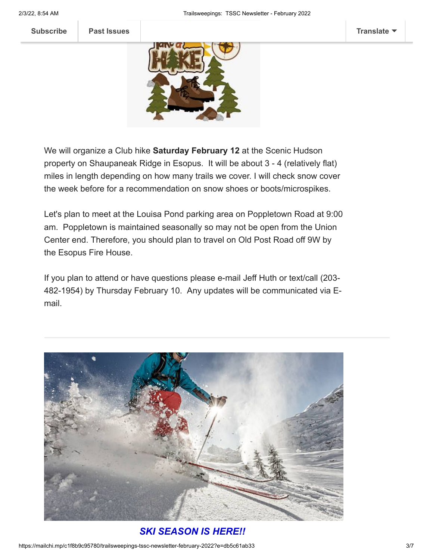**[Subscribe](http://eepurl.com/hCJCor) [Past Issues](https://us17.campaign-archive.com/home/?u=12dc0f31cf0de42e0801b3e21&id=3b633232f1) [Translate](javascript:;)**



We will organize a Club hike **Saturday February 12** at the Scenic Hudson property on Shaupaneak Ridge in Esopus. It will be about 3 - 4 (relatively flat) miles in length depending on how many trails we cover. I will check snow cover the week before for a recommendation on snow shoes or boots/microspikes.

Let's plan to meet at the Louisa Pond parking area on Poppletown Road at 9:00 am. Poppletown is maintained seasonally so may not be open from the Union Center end. Therefore, you should plan to travel on Old Post Road off 9W by the Esopus Fire House.

If you plan to attend or have questions please e-mail Jeff Huth or text/call (203- 482-1954) by Thursday February 10. Any updates will be communicated via Email.



*SKI SEASON IS HERE!!*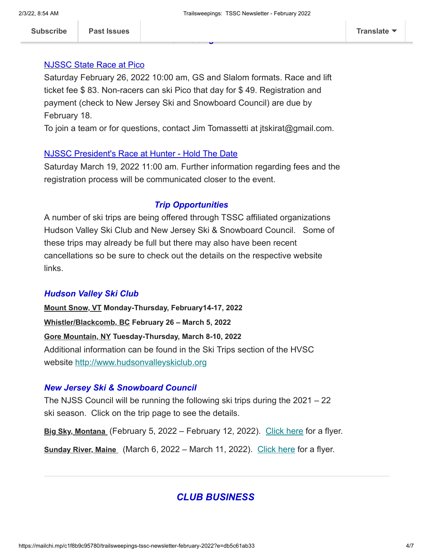#### NJSSC State Race at Pico

Saturday February 26, 2022 10:00 am, GS and Slalom formats. Race and lift ticket fee \$ 83. Non-racers can ski Pico that day for \$ 49. Registration and payment (check to New Jersey Ski and Snowboard Council) are due by February 18.

*Ski Racing*

To join a team or for questions, contact Jim Tomassetti at jtskirat@gmail.com.

#### NJSSC President's Race at Hunter - Hold The Date

Saturday March 19, 2022 11:00 am. Further information regarding fees and the registration process will be communicated closer to the event.

### *Trip Opportunities*

A number of ski trips are being offered through TSSC affiliated organizations Hudson Valley Ski Club and New Jersey Ski & Snowboard Council. Some of these trips may already be full but there may also have been recent cancellations so be sure to check out the details on the respective website links.

#### *Hudson Valley Ski Club*

**Mount Snow, VT Monday-Thursday, February14-17, 2022 Whistler/Blackcomb, BC February 26 – March 5, 2022 Gore Mountain, NY Tuesday-Thursday, March 8-10, 2022** Additional information can be found in the Ski Trips section of the HVSC website [http://www.hudsonvalleyskiclub.org](https://na01.safelinks.protection.outlook.com/?url=https%3A%2F%2Fhotmail.us17.list-manage.com%2Ftrack%2Fclick%3Fu%3D12dc0f31cf0de42e0801b3e21%26id%3D1f43c617a6%26e%3Ddb5c61ab33&data=04%7C01%7C%7C6b69bd7d8a9d4ff6871708d96d36eee6%7C84df9e7fe9f640afb435aaaaaaaaaaaa%7C1%7C0%7C637660905007882776%7CUnknown%7CTWFpbGZsb3d8eyJWIjoiMC4wLjAwMDAiLCJQIjoiV2luMzIiLCJBTiI6Ik1haWwiLCJXVCI6Mn0%3D%7C1000&sdata=8glVYzwfTzbpc0%2Bd25dUd0ZJJuhD6I34X8skHeFWoFQ%3D&reserved=0)

#### *New Jersey Ski & Snowboard Council*

The NJSS Council will be running the following ski trips during the 2021 – 22 ski season. Click on the trip page to see the details.

**Big Sky, Montana** (February 5, 2022 – February 12, 2022). [Click here](https://na01.safelinks.protection.outlook.com/?url=https%3A%2F%2Fhotmail.us17.list-manage.com%2Ftrack%2Fclick%3Fu%3D12dc0f31cf0de42e0801b3e21%26id%3Dd0982fe6a1%26e%3Ddb5c61ab33&data=04%7C01%7C%7C6b69bd7d8a9d4ff6871708d96d36eee6%7C84df9e7fe9f640afb435aaaaaaaaaaaa%7C1%7C0%7C637660905007882776%7CUnknown%7CTWFpbGZsb3d8eyJWIjoiMC4wLjAwMDAiLCJQIjoiV2luMzIiLCJBTiI6Ik1haWwiLCJXVCI6Mn0%3D%7C1000&sdata=9TNq95H04QCmddoQMFIIUqT5S3ORmAEmDo%2FVgvR2fyo%3D&reserved=0) for a flyer.

**Sunday River, Maine** (March 6, 2022 – March 11, 2022). [Click here](https://na01.safelinks.protection.outlook.com/?url=https%3A%2F%2Fhotmail.us17.list-manage.com%2Ftrack%2Fclick%3Fu%3D12dc0f31cf0de42e0801b3e21%26id%3Dda26fc04b4%26e%3Ddb5c61ab33&data=04%7C01%7C%7C6b69bd7d8a9d4ff6871708d96d36eee6%7C84df9e7fe9f640afb435aaaaaaaaaaaa%7C1%7C0%7C637660905007892733%7CUnknown%7CTWFpbGZsb3d8eyJWIjoiMC4wLjAwMDAiLCJQIjoiV2luMzIiLCJBTiI6Ik1haWwiLCJXVCI6Mn0%3D%7C1000&sdata=fTtNk1ixVGo7EsYIc%2BSdPUnVjnAgziDAfAIo%2FgOHMl8%3D&reserved=0) for a flyer.

## *CLUB BUSINESS*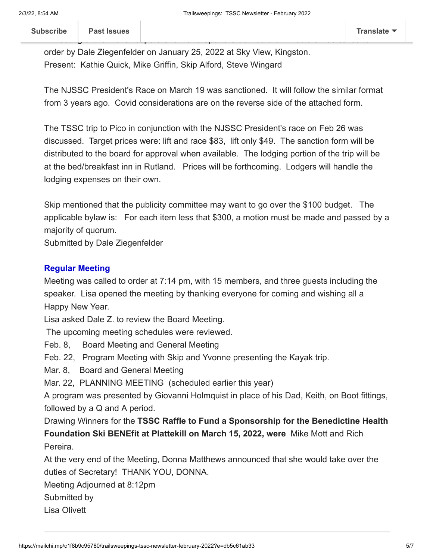**Subscribe Past Issues** 

A meeting of the Trailsweepers Snow and Sports Club Board of Directors was called to **Subscribe Past Issues [Translate](javascript:;)**

order by Dale Ziegenfelder on January 25, 2022 at Sky View, Kingston. Present: Kathie Quick, Mike Griffin, Skip Alford, Steve Wingard

The NJSSC President's Race on March 19 was sanctioned. It will follow the similar format from 3 years ago. Covid considerations are on the reverse side of the attached form.

The TSSC trip to Pico in conjunction with the NJSSC President's race on Feb 26 was discussed. Target prices were: lift and race \$83, lift only \$49. The sanction form will be distributed to the board for approval when available. The lodging portion of the trip will be at the bed/breakfast inn in Rutland. Prices will be forthcoming. Lodgers will handle the lodging expenses on their own.

Skip mentioned that the publicity committee may want to go over the \$100 budget. The applicable bylaw is: For each item less that \$300, a motion must be made and passed by a majority of quorum.

Submitted by Dale Ziegenfelder

#### **Regular Meeting**

Meeting was called to order at 7:14 pm, with 15 members, and three guests including the speaker. Lisa opened the meeting by thanking everyone for coming and wishing all a Happy New Year.

Lisa asked Dale Z. to review the Board Meeting.

The upcoming meeting schedules were reviewed.

- Feb. 8, Board Meeting and General Meeting
- Feb. 22, Program Meeting with Skip and Yvonne presenting the Kayak trip.
- Mar. 8, Board and General Meeting
- Mar. 22, PLANNING MEETING (scheduled earlier this year)

A program was presented by Giovanni Holmquist in place of his Dad, Keith, on Boot fittings, followed by a Q and A period.

Drawing Winners for the **TSSC Raffle to Fund a Sponsorship for the Benedictine Health Foundation Ski BENEfit at Plattekill on March 15, 2022, were** Mike Mott and Rich Pereira.

At the very end of the Meeting, Donna Matthews announced that she would take over the duties of Secretary! THANK YOU, DONNA.

Meeting Adjourned at 8:12pm

- Submitted by
- Lisa Olivett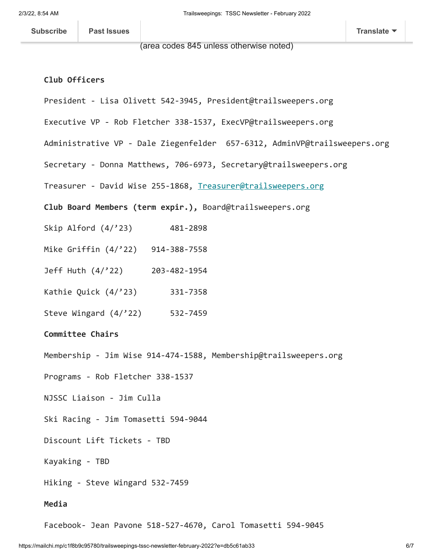### (area codes 845 unless otherwise noted)

### **Club Officers**

- President Lisa Olivett 542-3945, President@trailsweepers.org
- Executive VP Rob Fletcher 338-1537, ExecVP@trailsweepers.org
- Administrative VP Dale Ziegenfelder 657-6312, AdminVP@trailsweepers.org
- Secretary Donna Matthews, 706-6973, Secretary@trailsweepers.org
- Treasurer David Wise 255-1868, [Treasurer@trailsweepers.org](mailto:Treasurer@trailsweepers.org)
- **Club Board Members (term expir.),** Board@trailsweepers.org
- Skip Alford (4/'23) 481-2898
- Mike Griffin (4/'22) 914-388-7558
- Jeff Huth (4/'22) 203-482-1954
- Kathie Quick (4/'23) 331-7358
- Steve Wingard (4/'22) 532-7459

#### **Committee Chairs**

- Membership Jim Wise 914-474-1588, Membership@trailsweepers.org
- Programs Rob Fletcher 338-1537
- NJSSC Liaison Jim Culla
- Ski Racing Jim Tomasetti 594-9044
- Discount Lift Tickets TBD
- Kayaking TBD
- Hiking Steve Wingard 532-7459

#### **Media**

Facebook- Jean Pavone 518-527-4670, Carol Tomasetti 594-9045